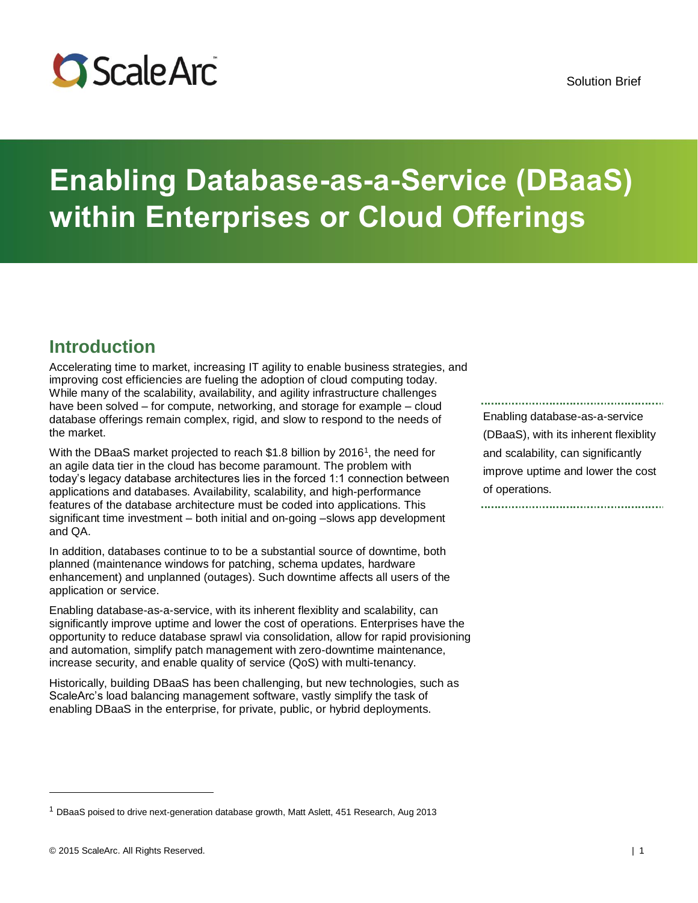



# **Enabling Database-as-a-Service (DBaaS) within Enterprises or Cloud Offerings**

### **Introduction**

Accelerating time to market, increasing IT agility to enable business strategies, and improving cost efficiencies are fueling the adoption of cloud computing today. While many of the scalability, availability, and agility infrastructure challenges have been solved – for compute, networking, and storage for example – cloud database offerings remain complex, rigid, and slow to respond to the needs of the market.

With the DBaaS market projected to reach \$1.8 billion by 2016<sup>1</sup>, the need for an agile data tier in the cloud has become paramount. The problem with today's legacy database architectures lies in the forced 1:1 connection between applications and databases. Availability, scalability, and high-performance features of the database architecture must be coded into applications. This significant time investment – both initial and on-going –slows app development and QA.

In addition, databases continue to to be a substantial source of downtime, both planned (maintenance windows for patching, schema updates, hardware enhancement) and unplanned (outages). Such downtime affects all users of the application or service.

Enabling database-as-a-service, with its inherent flexiblity and scalability, can significantly improve uptime and lower the cost of operations. Enterprises have the opportunity to reduce database sprawl via consolidation, allow for rapid provisioning and automation, simplify patch management with zero-downtime maintenance, increase security, and enable quality of service (QoS) with multi-tenancy.

Historically, building DBaaS has been challenging, but new technologies, such as ScaleArc's load balancing management software, vastly simplify the task of enabling DBaaS in the enterprise, for private, public, or hybrid deployments.

Enabling database-as-a-service (DBaaS), with its inherent flexiblity and scalability, can significantly improve uptime and lower the cost of operations.

l

 $1$  DBaaS poised to drive next-generation database growth, Matt Aslett, 451 Research, Aug 2013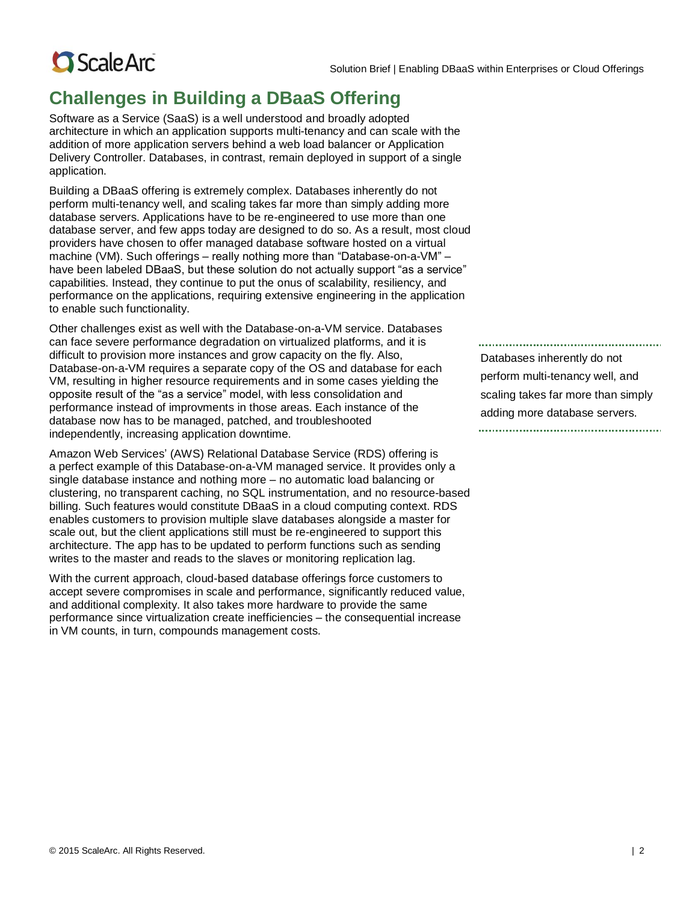## **Challenges in Building a DBaaS Offering**

Software as a Service (SaaS) is a well understood and broadly adopted architecture in which an application supports multi-tenancy and can scale with the addition of more application servers behind a web load balancer or Application Delivery Controller. Databases, in contrast, remain deployed in support of a single application.

Building a DBaaS offering is extremely complex. Databases inherently do not perform multi-tenancy well, and scaling takes far more than simply adding more database servers. Applications have to be re-engineered to use more than one database server, and few apps today are designed to do so. As a result, most cloud providers have chosen to offer managed database software hosted on a virtual machine (VM). Such offerings – really nothing more than "Database-on-a-VM" – have been labeled DBaaS, but these solution do not actually support "as a service" capabilities. Instead, they continue to put the onus of scalability, resiliency, and performance on the applications, requiring extensive engineering in the application to enable such functionality.

Other challenges exist as well with the Database-on-a-VM service. Databases can face severe performance degradation on virtualized platforms, and it is difficult to provision more instances and grow capacity on the fly. Also, Database-on-a-VM requires a separate copy of the OS and database for each VM, resulting in higher resource requirements and in some cases yielding the opposite result of the "as a service" model, with less consolidation and performance instead of improvments in those areas. Each instance of the database now has to be managed, patched, and troubleshooted independently, increasing application downtime.

Amazon Web Services' (AWS) Relational Database Service (RDS) offering is a perfect example of this Database-on-a-VM managed service. It provides only a single database instance and nothing more – no automatic load balancing or clustering, no transparent caching, no SQL instrumentation, and no resource-based billing. Such features would constitute DBaaS in a cloud computing context. RDS enables customers to provision multiple slave databases alongside a master for scale out, but the client applications still must be re-engineered to support this architecture. The app has to be updated to perform functions such as sending writes to the master and reads to the slaves or monitoring replication lag.

With the current approach, cloud-based database offerings force customers to accept severe compromises in scale and performance, significantly reduced value, and additional complexity. It also takes more hardware to provide the same performance since virtualization create inefficiencies – the consequential increase in VM counts, in turn, compounds management costs.

Databases inherently do not perform multi-tenancy well, and scaling takes far more than simply adding more database servers.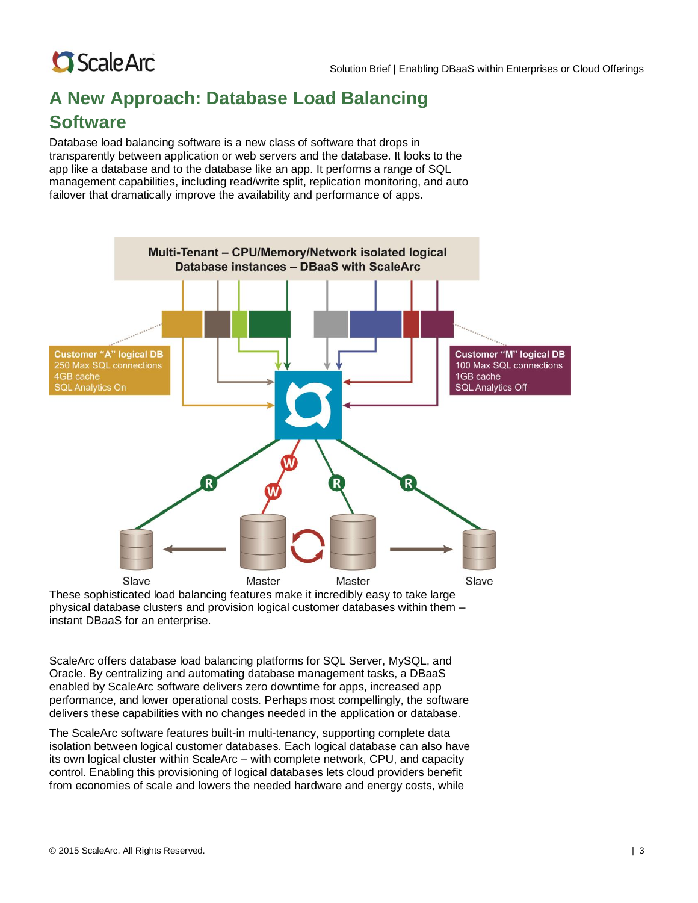

## **A New Approach: Database Load Balancing Software**

Database load balancing software is a new class of software that drops in transparently between application or web servers and the database. It looks to the app like a database and to the database like an app. It performs a range of SQL management capabilities, including read/write split, replication monitoring, and auto failover that dramatically improve the availability and performance of apps.





ScaleArc offers database load balancing platforms for SQL Server, MySQL, and Oracle. By centralizing and automating database management tasks, a DBaaS enabled by ScaleArc software delivers zero downtime for apps, increased app performance, and lower operational costs. Perhaps most compellingly, the software delivers these capabilities with no changes needed in the application or database.

The ScaleArc software features built-in multi-tenancy, supporting complete data isolation between logical customer databases. Each logical database can also have its own logical cluster within ScaleArc – with complete network, CPU, and capacity control. Enabling this provisioning of logical databases lets cloud providers benefit from economies of scale and lowers the needed hardware and energy costs, while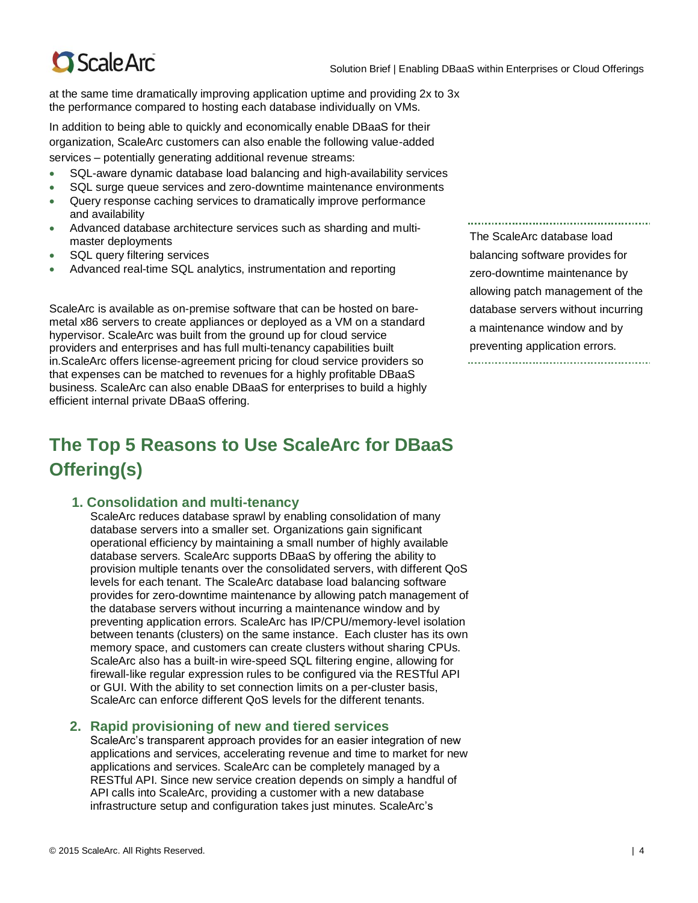# **O** Scale Arc

at the same time dramatically improving application uptime and providing 2x to 3x the performance compared to hosting each database individually on VMs.

In addition to being able to quickly and economically enable DBaaS for their organization, ScaleArc customers can also enable the following value-added services – potentially generating additional revenue streams:

- SQL-aware dynamic database load balancing and high-availability services
- SQL surge queue services and zero-downtime maintenance environments
- Query response caching services to dramatically improve performance and availability
- Advanced database architecture services such as sharding and multimaster deployments
- SQL query filtering services
- Advanced real-time SQL analytics, instrumentation and reporting

ScaleArc is available as on-premise software that can be hosted on baremetal x86 servers to create appliances or deployed as a VM on a standard hypervisor. ScaleArc was built from the ground up for cloud service providers and enterprises and has full multi-tenancy capabilities built in.ScaleArc offers license-agreement pricing for cloud service providers so that expenses can be matched to revenues for a highly profitable DBaaS business. ScaleArc can also enable DBaaS for enterprises to build a highly efficient internal private DBaaS offering.

## **The Top 5 Reasons to Use ScaleArc for DBaaS Offering(s)**

#### **1. Consolidation and multi-tenancy**

ScaleArc reduces database sprawl by enabling consolidation of many database servers into a smaller set. Organizations gain significant operational efficiency by maintaining a small number of highly available database servers. ScaleArc supports DBaaS by offering the ability to provision multiple tenants over the consolidated servers, with different QoS levels for each tenant. The ScaleArc database load balancing software provides for zero-downtime maintenance by allowing patch management of the database servers without incurring a maintenance window and by preventing application errors. ScaleArc has IP/CPU/memory-level isolation between tenants (clusters) on the same instance. Each cluster has its own memory space, and customers can create clusters without sharing CPUs. ScaleArc also has a built-in wire-speed SQL filtering engine, allowing for firewall-like regular expression rules to be configured via the RESTful API or GUI. With the ability to set connection limits on a per-cluster basis, ScaleArc can enforce different QoS levels for the different tenants.

#### **2. Rapid provisioning of new and tiered services**

ScaleArc's transparent approach provides for an easier integration of new applications and services, accelerating revenue and time to market for new applications and services. ScaleArc can be completely managed by a RESTful API. Since new service creation depends on simply a handful of API calls into ScaleArc, providing a customer with a new database infrastructure setup and configuration takes just minutes. ScaleArc's

The ScaleArc database load balancing software provides for zero-downtime maintenance by allowing patch management of the database servers without incurring a maintenance window and by preventing application errors.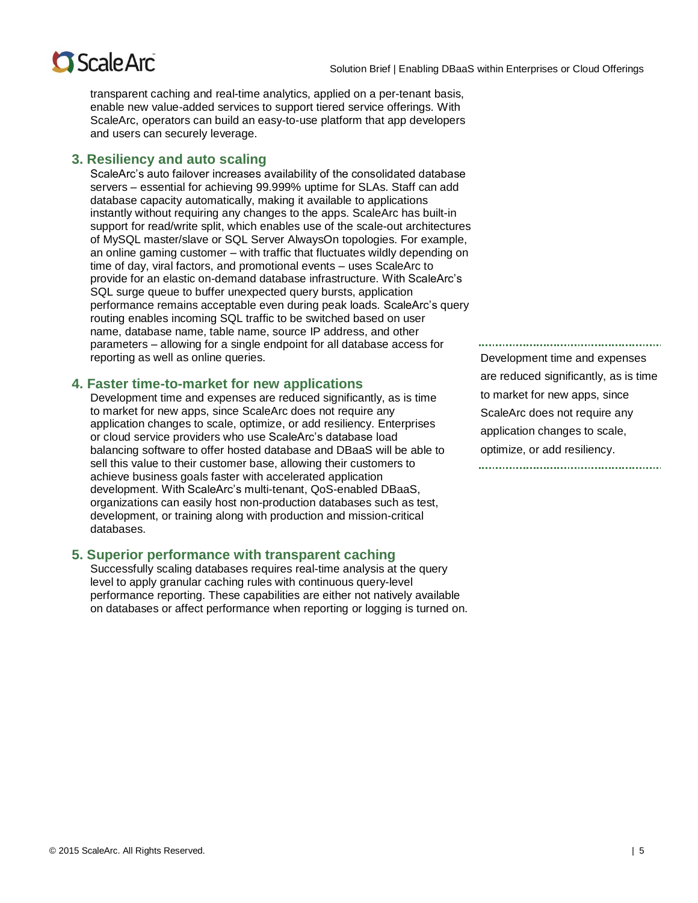

transparent caching and real-time analytics, applied on a per-tenant basis, enable new value-added services to support tiered service offerings. With ScaleArc, operators can build an easy-to-use platform that app developers and users can securely leverage.

#### **3. Resiliency and auto scaling**

ScaleArc's auto failover increases availability of the consolidated database servers – essential for achieving 99.999% uptime for SLAs. Staff can add database capacity automatically, making it available to applications instantly without requiring any changes to the apps. ScaleArc has built-in support for read/write split, which enables use of the scale-out architectures of MySQL master/slave or SQL Server AlwaysOn topologies. For example, an online gaming customer – with traffic that fluctuates wildly depending on time of day, viral factors, and promotional events – uses ScaleArc to provide for an elastic on-demand database infrastructure. With ScaleArc's SQL surge queue to buffer unexpected query bursts, application performance remains acceptable even during peak loads. ScaleArc's query routing enables incoming SQL traffic to be switched based on user name, database name, table name, source IP address, and other parameters – allowing for a single endpoint for all database access for reporting as well as online queries.

#### **4. Faster time-to-market for new applications**

Development time and expenses are reduced significantly, as is time to market for new apps, since ScaleArc does not require any application changes to scale, optimize, or add resiliency. Enterprises or cloud service providers who use ScaleArc's database load balancing software to offer hosted database and DBaaS will be able to sell this value to their customer base, allowing their customers to achieve business goals faster with accelerated application development. With ScaleArc's multi-tenant, QoS-enabled DBaaS, organizations can easily host non-production databases such as test, development, or training along with production and mission-critical databases.

#### **5. Superior performance with transparent caching**

Successfully scaling databases requires real-time analysis at the query level to apply granular caching rules with continuous query-level performance reporting. These capabilities are either not natively available on databases or affect performance when reporting or logging is turned on.

Development time and expenses are reduced significantly, as is time to market for new apps, since ScaleArc does not require any application changes to scale, optimize, or add resiliency.